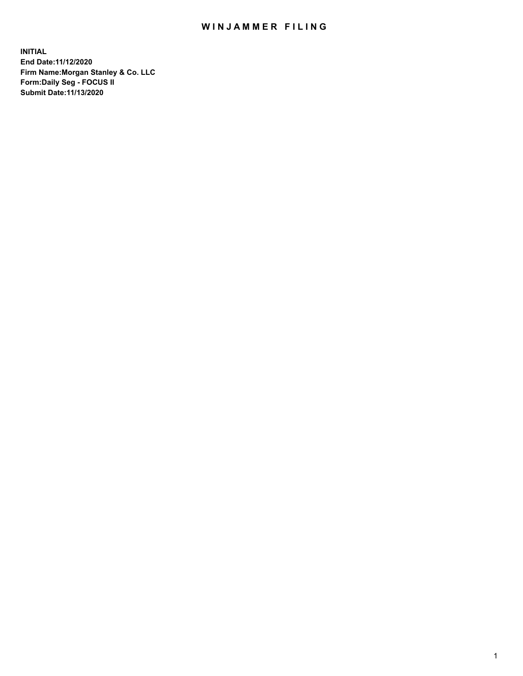## WIN JAMMER FILING

**INITIAL End Date:11/12/2020 Firm Name:Morgan Stanley & Co. LLC Form:Daily Seg - FOCUS II Submit Date:11/13/2020**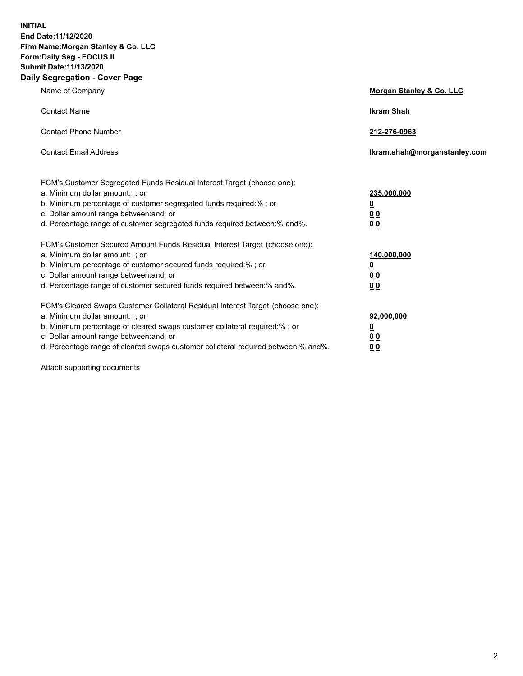**INITIAL End Date:11/12/2020 Firm Name:Morgan Stanley & Co. LLC Form:Daily Seg - FOCUS II Submit Date:11/13/2020 Daily Segregation - Cover Page**

| Name of Company                                                                                                                                                                                                                                                                                                                | <b>Morgan Stanley &amp; Co. LLC</b>                    |
|--------------------------------------------------------------------------------------------------------------------------------------------------------------------------------------------------------------------------------------------------------------------------------------------------------------------------------|--------------------------------------------------------|
| <b>Contact Name</b>                                                                                                                                                                                                                                                                                                            | <b>Ikram Shah</b>                                      |
| <b>Contact Phone Number</b>                                                                                                                                                                                                                                                                                                    | 212-276-0963                                           |
| <b>Contact Email Address</b>                                                                                                                                                                                                                                                                                                   | Ikram.shah@morganstanley.com                           |
| FCM's Customer Segregated Funds Residual Interest Target (choose one):<br>a. Minimum dollar amount: ; or<br>b. Minimum percentage of customer segregated funds required:% ; or<br>c. Dollar amount range between: and; or<br>d. Percentage range of customer segregated funds required between:% and%.                         | 235,000,000<br><u>0</u><br>0 Q<br>0 Q                  |
| FCM's Customer Secured Amount Funds Residual Interest Target (choose one):<br>a. Minimum dollar amount: ; or<br>b. Minimum percentage of customer secured funds required:% ; or<br>c. Dollar amount range between: and; or<br>d. Percentage range of customer secured funds required between: % and %.                         | 140,000,000<br><u>0</u><br><u>00</u><br>0 <sub>0</sub> |
| FCM's Cleared Swaps Customer Collateral Residual Interest Target (choose one):<br>a. Minimum dollar amount: ; or<br>b. Minimum percentage of cleared swaps customer collateral required:% ; or<br>c. Dollar amount range between: and; or<br>d. Percentage range of cleared swaps customer collateral required between:% and%. | 92,000,000<br><u>0</u><br>0 Q<br>00                    |

Attach supporting documents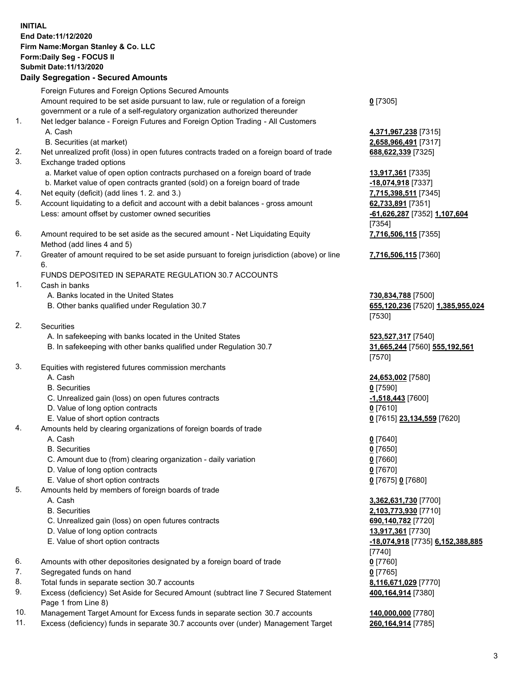## **INITIAL End Date:11/12/2020 Firm Name:Morgan Stanley & Co. LLC Form:Daily Seg - FOCUS II Submit Date:11/13/2020**

## **Daily Segregation - Secured Amounts**

Foreign Futures and Foreign Options Secured Amounts Amount required to be set aside pursuant to law, rule or regulation of a foreign government or a rule of a self-regulatory organization authorized thereunder 1. Net ledger balance - Foreign Futures and Foreign Option Trading - All Customers A. Cash **4,371,967,238** [7315] B. Securities (at market) **2,658,966,491** [7317] 2. Net unrealized profit (loss) in open futures contracts traded on a foreign board of trade **688,622,339** [7325] 3. Exchange traded options a. Market value of open option contracts purchased on a foreign board of trade **13,917,361** [7335] b. Market value of open contracts granted (sold) on a foreign board of trade **-18,074,918** [7337] 4. Net equity (deficit) (add lines 1. 2. and 3.) **7,715,398,511** [7345] 5. Account liquidating to a deficit and account with a debit balances - gross amount **62,733,891** [7351] Less: amount offset by customer owned securities **-61,626,287** [7352] **1,107,604** 6. Amount required to be set aside as the secured amount - Net Liquidating Equity Method (add lines 4 and 5) 7. Greater of amount required to be set aside pursuant to foreign jurisdiction (above) or line 6. FUNDS DEPOSITED IN SEPARATE REGULATION 30.7 ACCOUNTS 1. Cash in banks A. Banks located in the United States **730,834,788** [7500] B. Other banks qualified under Regulation 30.7 **655,120,236** [7520] **1,385,955,024** 2. Securities A. In safekeeping with banks located in the United States **523,527,317** [7540] B. In safekeeping with other banks qualified under Regulation 30.7 **31,665,244** [7560] **555,192,561** 3. Equities with registered futures commission merchants A. Cash **24,653,002** [7580] B. Securities **0** [7590] C. Unrealized gain (loss) on open futures contracts **-1,518,443** [7600] D. Value of long option contracts **0** [7610] E. Value of short option contracts **0** [7615] **23,134,559** [7620] 4. Amounts held by clearing organizations of foreign boards of trade A. Cash **0** [7640] B. Securities **0** [7650]

- 
- C. Amount due to (from) clearing organization daily variation **0** [7660]
- D. Value of long option contracts **0** [7670]
- E. Value of short option contracts **0** [7675] **0** [7680]
- 5. Amounts held by members of foreign boards of trade
	-
	-
	- C. Unrealized gain (loss) on open futures contracts **690,140,782** [7720]
	- D. Value of long option contracts **13,917,361** [7730]
	-
- 6. Amounts with other depositories designated by a foreign board of trade **0** [7760]
- 7. Segregated funds on hand **0** [7765]
- 8. Total funds in separate section 30.7 accounts **8,116,671,029** [7770]
- 9. Excess (deficiency) Set Aside for Secured Amount (subtract line 7 Secured Statement Page 1 from Line 8)
- 10. Management Target Amount for Excess funds in separate section 30.7 accounts **140,000,000** [7780]
- 11. Excess (deficiency) funds in separate 30.7 accounts over (under) Management Target **260,164,914** [7785]

**0** [7305]

[7354] **7,716,506,115** [7355]

**7,716,506,115** [7360]

[7530]

[7570]

 A. Cash **3,362,631,730** [7700] B. Securities **2,103,773,930** [7710] E. Value of short option contracts **-18,074,918** [7735] **6,152,388,885** [7740] **400,164,914** [7380]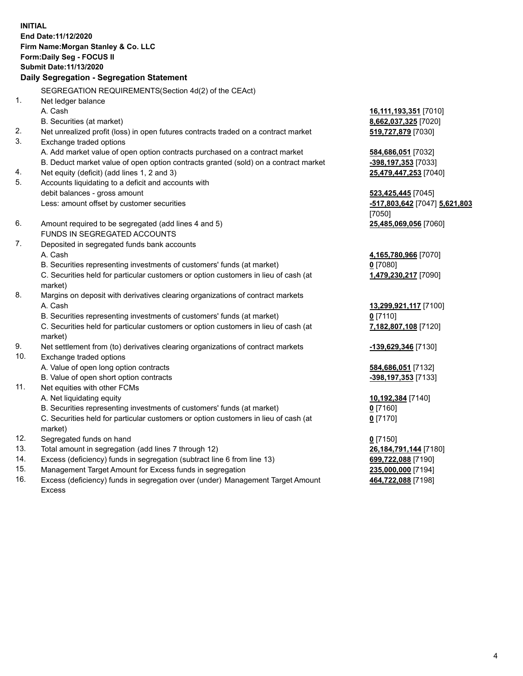**INITIAL End Date:11/12/2020 Firm Name:Morgan Stanley & Co. LLC Form:Daily Seg - FOCUS II Submit Date:11/13/2020 Daily Segregation - Segregation Statement** SEGREGATION REQUIREMENTS(Section 4d(2) of the CEAct) 1. Net ledger balance A. Cash **16,111,193,351** [7010] B. Securities (at market) **8,662,037,325** [7020] 2. Net unrealized profit (loss) in open futures contracts traded on a contract market **519,727,879** [7030] 3. Exchange traded options A. Add market value of open option contracts purchased on a contract market **584,686,051** [7032] B. Deduct market value of open option contracts granted (sold) on a contract market **-398,197,353** [7033] 4. Net equity (deficit) (add lines 1, 2 and 3) **25,479,447,253** [7040] 5. Accounts liquidating to a deficit and accounts with debit balances - gross amount **523,425,445** [7045] Less: amount offset by customer securities **-517,803,642** [7047] **5,621,803** [7050] 6. Amount required to be segregated (add lines 4 and 5) **25,485,069,056** [7060] FUNDS IN SEGREGATED ACCOUNTS 7. Deposited in segregated funds bank accounts A. Cash **4,165,780,966** [7070] B. Securities representing investments of customers' funds (at market) **0** [7080] C. Securities held for particular customers or option customers in lieu of cash (at market) **1,479,230,217** [7090] 8. Margins on deposit with derivatives clearing organizations of contract markets A. Cash **13,299,921,117** [7100] B. Securities representing investments of customers' funds (at market) **0** [7110] C. Securities held for particular customers or option customers in lieu of cash (at market) **7,182,807,108** [7120] 9. Net settlement from (to) derivatives clearing organizations of contract markets **-139,629,346** [7130] 10. Exchange traded options A. Value of open long option contracts **584,686,051** [7132] B. Value of open short option contracts **-398,197,353** [7133] 11. Net equities with other FCMs A. Net liquidating equity **10,192,384** [7140] B. Securities representing investments of customers' funds (at market) **0** [7160] C. Securities held for particular customers or option customers in lieu of cash (at market) **0** [7170] 12. Segregated funds on hand **0** [7150] 13. Total amount in segregation (add lines 7 through 12) **26,184,791,144** [7180] 14. Excess (deficiency) funds in segregation (subtract line 6 from line 13) **699,722,088** [7190] 15. Management Target Amount for Excess funds in segregation **235,000,000** [7194]

16. Excess (deficiency) funds in segregation over (under) Management Target Amount Excess

**464,722,088** [7198]